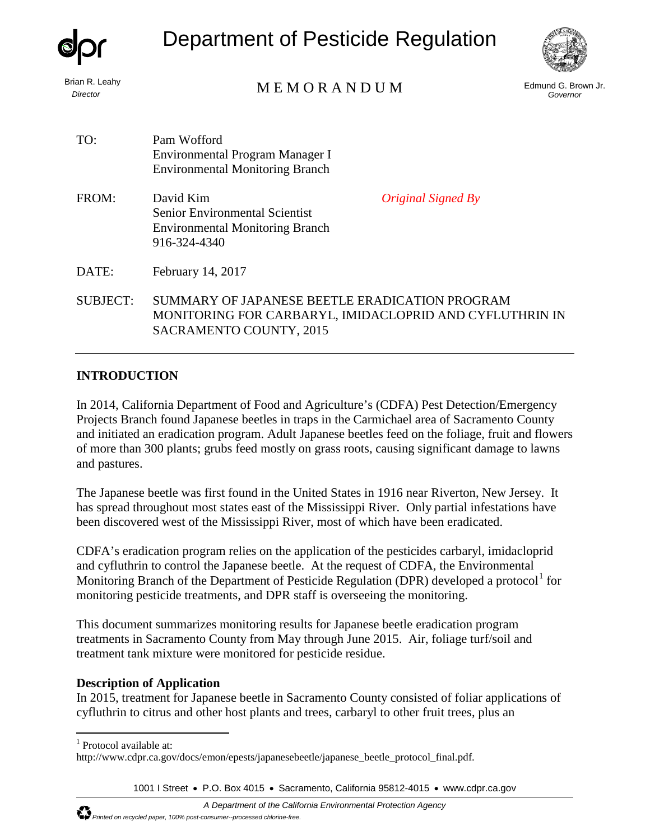|                                   | Department of Pesticide Regulation                                                                                                               |                                 |
|-----------------------------------|--------------------------------------------------------------------------------------------------------------------------------------------------|---------------------------------|
| Brian R. Leahy<br><b>Director</b> | MEMORANDUM                                                                                                                                       | Edmund G. Brown Jr.<br>Governor |
| TO:                               | Pam Wofford<br>Environmental Program Manager I<br><b>Environmental Monitoring Branch</b>                                                         |                                 |
| FROM:                             | David Kim<br><i><b>Original Signed By</b></i><br><b>Senior Environmental Scientist</b><br><b>Environmental Monitoring Branch</b><br>916-324-4340 |                                 |
| DATE:                             | February 14, 2017                                                                                                                                |                                 |
| <b>SUBJECT:</b>                   | SUMMARY OF JAPANESE BEETLE ERADICATION PROGRAM<br>MONITORING FOR CARBARYL, IMIDACLOPRID AND CYFLUTHRIN IN<br>SACRAMENTO COUNTY, 2015             |                                 |

## **INTRODUCTION**

In 2014, California Department of Food and Agriculture's (CDFA) Pest Detection/Emergency Projects Branch found Japanese beetles in traps in the Carmichael area of Sacramento County and initiated an eradication program. Adult Japanese beetles feed on the foliage, fruit and flowers of more than 300 plants; grubs feed mostly on grass roots, causing significant damage to lawns and pastures.

The Japanese beetle was first found in the United States in 1916 near Riverton, New Jersey. It has spread throughout most states east of the Mississippi River. Only partial infestations have been discovered west of the Mississippi River, most of which have been eradicated.

CDFA's eradication program relies on the application of the pesticides carbaryl, imidacloprid and cyfluthrin to control the Japanese beetle. At the request of CDFA, the Environmental Monitoring Branch of the Department of Pesticide Regulation (DPR) developed a protocol<sup>[1](#page-0-0)</sup> for monitoring pesticide treatments, and DPR staff is overseeing the monitoring.

This document summarizes monitoring results for Japanese beetle eradication program treatments in Sacramento County from May through June 2015. Air, foliage turf/soil and treatment tank mixture were monitored for pesticide residue.

## **Description of Application**

In 2015, treatment for Japanese beetle in Sacramento County consisted of foliar applications of cyfluthrin to citrus and other host plants and trees, carbaryl to other fruit trees, plus an

<span id="page-0-0"></span> $\overline{a}$  $<sup>1</sup>$  Protocol available at:</sup>

1001 I Street • P.O. Box 4015 • Sacramento, California 95812-4015 • [www.cdpr.ca.gov](http://www.cdpr.ca.gov/)

http://www.cdpr.ca.gov/docs/emon/epests/japanesebeetle/japanese\_beetle\_protocol\_final.pdf.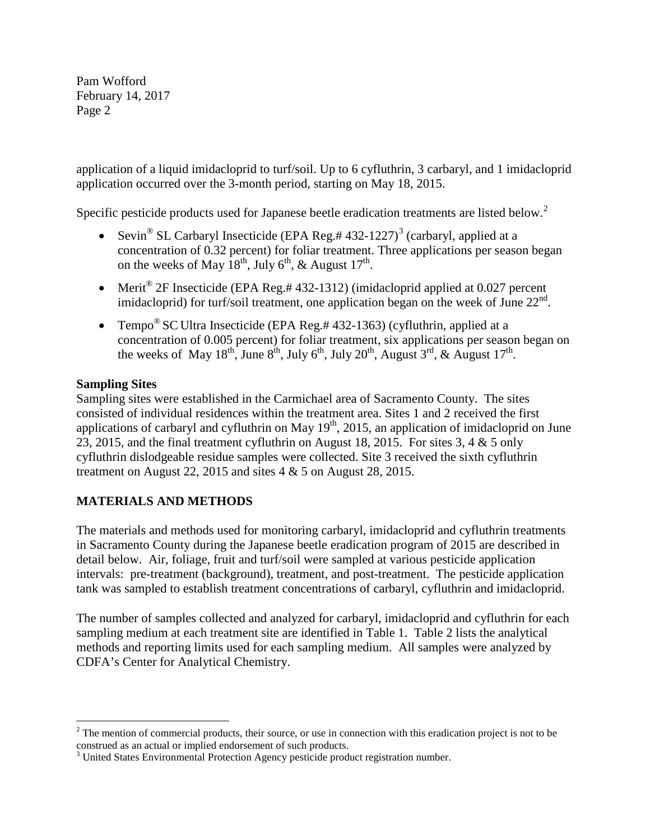application of a liquid imidacloprid to turf/soil. Up to 6 cyfluthrin, 3 carbaryl, and 1 imidacloprid application occurred over the 3-month period, starting on May 18, 2015.

Specific pesticide products used for Japanese beetle eradication treatments are listed below.<sup>[2](#page-1-0)</sup>

- Sevin<sup>®</sup> SL Carbaryl Insecticide (EPA Reg.# 4[3](#page-1-1)2-1227)<sup>3</sup> (carbaryl, applied at a concentration of 0.32 percent) for foliar treatment. Three applications per season began on the weeks of May  $18^{th}$ , July 6<sup>th</sup>, & August  $17^{th}$ .
- Merit<sup>®</sup> 2F Insecticide (EPA Reg.#432-1312) (imidacloprid applied at 0.027 percent imidacloprid) for turf/soil treatment, one application began on the week of June  $22<sup>nd</sup>$ .
- Tempo<sup>®</sup> SC Ultra Insecticide (EPA Reg.# 432-1363) (cyfluthrin, applied at a concentration of 0.005 percent) for foliar treatment, six applications per season began on the weeks of May  $18^{th}$ , June  $8^{th}$ , July  $6^{th}$ , July  $20^{th}$ , August  $3^{rd}$ , & August  $17^{th}$ .

## **Sampling Sites**

Sampling sites were established in the Carmichael area of Sacramento County. The sites consisted of individual residences within the treatment area. Sites 1 and 2 received the first applications of carbaryl and cyfluthrin on May  $19<sup>th</sup>$ , 2015, an application of imidacloprid on June 23, 2015, and the final treatment cyfluthrin on August 18, 2015. For sites 3, 4 & 5 only cyfluthrin dislodgeable residue samples were collected. Site 3 received the sixth cyfluthrin treatment on August 22, 2015 and sites 4 & 5 on August 28, 2015.

# **MATERIALS AND METHODS**

The materials and methods used for monitoring carbaryl, imidacloprid and cyfluthrin treatments in Sacramento County during the Japanese beetle eradication program of 2015 are described in detail below. Air, foliage, fruit and turf/soil were sampled at various pesticide application intervals: pre-treatment (background), treatment, and post-treatment. The pesticide application tank was sampled to establish treatment concentrations of carbaryl, cyfluthrin and imidacloprid.

The number of samples collected and analyzed for carbaryl, imidacloprid and cyfluthrin for each sampling medium at each treatment site are identified in Table 1. Table 2 lists the analytical methods and reporting limits used for each sampling medium. All samples were analyzed by CDFA's Center for Analytical Chemistry.

<span id="page-1-0"></span> $\overline{a}$  $2<sup>2</sup>$  The mention of commercial products, their source, or use in connection with this eradication project is not to be construed as an actual or implied endorsement of such products. <sup>3</sup> United States Environmental Protection Agency pesticide product registration number.

<span id="page-1-1"></span>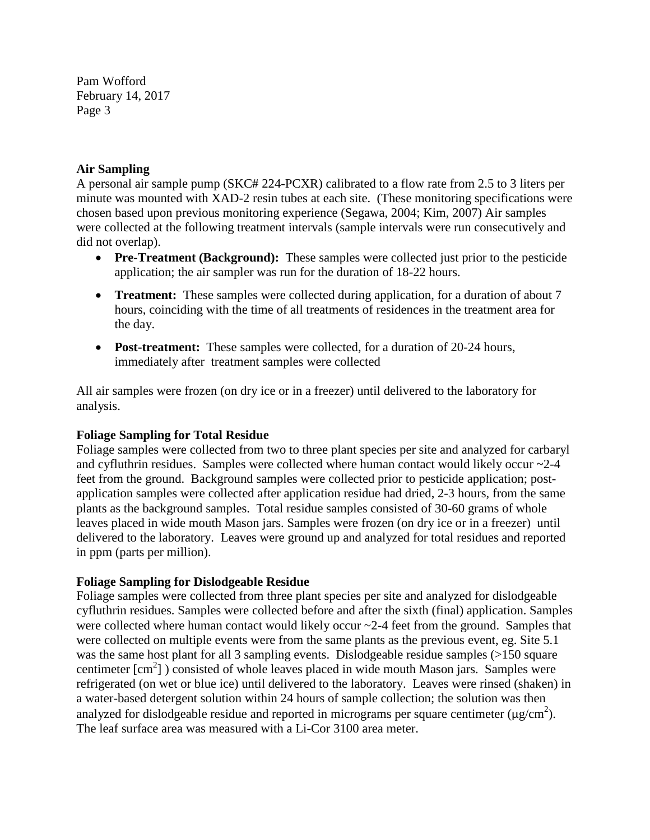#### **Air Sampling**

A personal air sample pump (SKC# 224-PCXR) calibrated to a flow rate from 2.5 to 3 liters per minute was mounted with XAD-2 resin tubes at each site. (These monitoring specifications were chosen based upon previous monitoring experience (Segawa, 2004; Kim, 2007) Air samples were collected at the following treatment intervals (sample intervals were run consecutively and did not overlap).

- **Pre-Treatment (Background):** These samples were collected just prior to the pesticide application; the air sampler was run for the duration of 18-22 hours.
- **Treatment:** These samples were collected during application, for a duration of about 7 hours, coinciding with the time of all treatments of residences in the treatment area for the day.
- **Post-treatment:** These samples were collected, for a duration of 20-24 hours, immediately after treatment samples were collected

All air samples were frozen (on dry ice or in a freezer) until delivered to the laboratory for analysis.

#### **Foliage Sampling for Total Residue**

Foliage samples were collected from two to three plant species per site and analyzed for carbaryl and cyfluthrin residues. Samples were collected where human contact would likely occur ~2-4 feet from the ground. Background samples were collected prior to pesticide application; postapplication samples were collected after application residue had dried, 2-3 hours, from the same plants as the background samples. Total residue samples consisted of 30-60 grams of whole leaves placed in wide mouth Mason jars. Samples were frozen (on dry ice or in a freezer) until delivered to the laboratory. Leaves were ground up and analyzed for total residues and reported in ppm (parts per million).

## **Foliage Sampling for Dislodgeable Residue**

Foliage samples were collected from three plant species per site and analyzed for dislodgeable cyfluthrin residues. Samples were collected before and after the sixth (final) application. Samples were collected where human contact would likely occur ~2-4 feet from the ground. Samples that were collected on multiple events were from the same plants as the previous event, eg. Site 5.1 was the same host plant for all 3 sampling events. Dislodgeable residue samples (>150 square centimeter [cm<sup>2</sup>]) consisted of whole leaves placed in wide mouth Mason jars. Samples were refrigerated (on wet or blue ice) until delivered to the laboratory. Leaves were rinsed (shaken) in a water-based detergent solution within 24 hours of sample collection; the solution was then analyzed for dislodgeable residue and reported in micrograms per square centimeter ( $\mu$ g/cm<sup>2</sup>). The leaf surface area was measured with a Li-Cor 3100 area meter.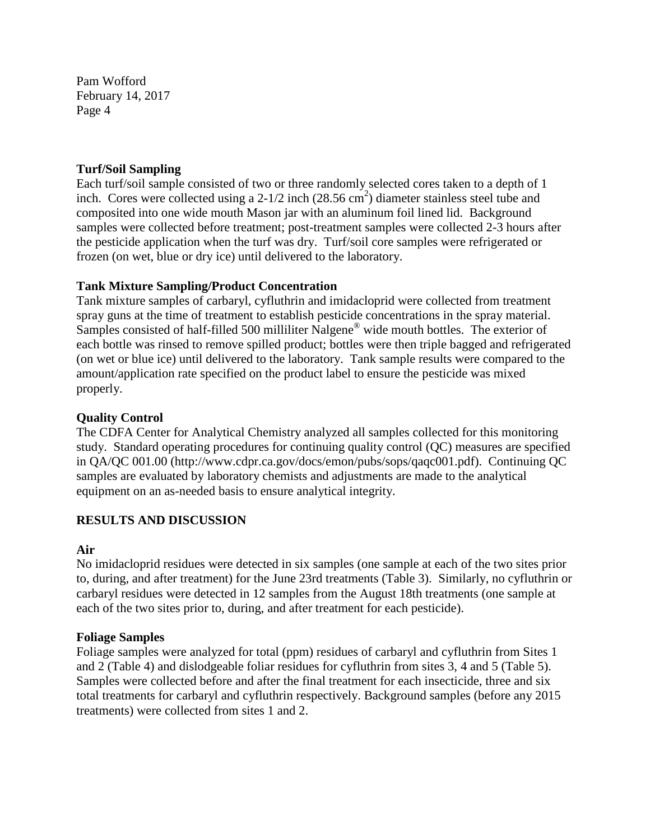#### **Turf/Soil Sampling**

Each turf/soil sample consisted of two or three randomly selected cores taken to a depth of 1 inch. Cores were collected using a 2-1/2 inch  $(28.56 \text{ cm}^2)$  diameter stainless steel tube and composited into one wide mouth Mason jar with an aluminum foil lined lid. Background samples were collected before treatment; post-treatment samples were collected 2-3 hours after the pesticide application when the turf was dry. Turf/soil core samples were refrigerated or frozen (on wet, blue or dry ice) until delivered to the laboratory.

## **Tank Mixture Sampling/Product Concentration**

Tank mixture samples of carbaryl, cyfluthrin and imidacloprid were collected from treatment spray guns at the time of treatment to establish pesticide concentrations in the spray material. Samples consisted of half-filled 500 milliliter Nalgene® wide mouth bottles. The exterior of each bottle was rinsed to remove spilled product; bottles were then triple bagged and refrigerated (on wet or blue ice) until delivered to the laboratory. Tank sample results were compared to the amount/application rate specified on the product label to ensure the pesticide was mixed properly.

### **Quality Control**

The CDFA Center for Analytical Chemistry analyzed all samples collected for this monitoring study. Standard operating procedures for continuing quality control (QC) measures are specified in QA/QC 001.00 (http://www.cdpr.ca.gov/docs/emon/pubs/sops/qaqc001.pdf). Continuing QC samples are evaluated by laboratory chemists and adjustments are made to the analytical equipment on an as-needed basis to ensure analytical integrity.

## **RESULTS AND DISCUSSION**

#### **Air**

No imidacloprid residues were detected in six samples (one sample at each of the two sites prior to, during, and after treatment) for the June 23rd treatments (Table 3). Similarly, no cyfluthrin or carbaryl residues were detected in 12 samples from the August 18th treatments (one sample at each of the two sites prior to, during, and after treatment for each pesticide).

#### **Foliage Samples**

Foliage samples were analyzed for total (ppm) residues of carbaryl and cyfluthrin from Sites 1 and 2 (Table 4) and dislodgeable foliar residues for cyfluthrin from sites 3, 4 and 5 (Table 5). Samples were collected before and after the final treatment for each insecticide, three and six total treatments for carbaryl and cyfluthrin respectively. Background samples (before any 2015 treatments) were collected from sites 1 and 2.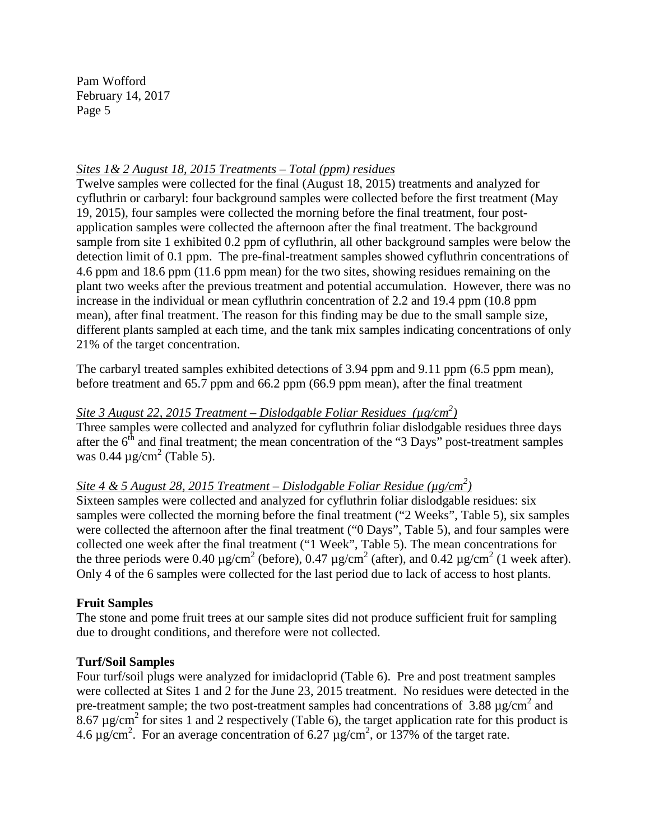#### *Sites 1& 2 August 18, 2015 Treatments – Total (ppm) residues*

Twelve samples were collected for the final (August 18, 2015) treatments and analyzed for cyfluthrin or carbaryl: four background samples were collected before the first treatment (May 19, 2015), four samples were collected the morning before the final treatment, four postapplication samples were collected the afternoon after the final treatment. The background sample from site 1 exhibited 0.2 ppm of cyfluthrin, all other background samples were below the detection limit of 0.1 ppm. The pre-final-treatment samples showed cyfluthrin concentrations of 4.6 ppm and 18.6 ppm (11.6 ppm mean) for the two sites, showing residues remaining on the plant two weeks after the previous treatment and potential accumulation. However, there was no increase in the individual or mean cyfluthrin concentration of 2.2 and 19.4 ppm (10.8 ppm mean), after final treatment. The reason for this finding may be due to the small sample size, different plants sampled at each time, and the tank mix samples indicating concentrations of only 21% of the target concentration.

The carbaryl treated samples exhibited detections of 3.94 ppm and 9.11 ppm (6.5 ppm mean), before treatment and 65.7 ppm and 66.2 ppm (66.9 ppm mean), after the final treatment

# *Site 3 August 22, 2015 Treatment – Dislodgable Foliar Residues (µg/cm2 )*

Three samples were collected and analyzed for cyfluthrin foliar dislodgable residues three days after the  $6<sup>th</sup>$  and final treatment; the mean concentration of the "3 Days" post-treatment samples was 0.44  $\mu$ g/cm<sup>2</sup> (Table 5).

# *Site 4 & 5 August 28, 2015 Treatment – Dislodgable Foliar Residue (µg/cm2 )*

Sixteen samples were collected and analyzed for cyfluthrin foliar dislodgable residues: six samples were collected the morning before the final treatment ("2 Weeks", Table 5), six samples were collected the afternoon after the final treatment ("0 Days", Table 5), and four samples were collected one week after the final treatment ("1 Week", Table 5). The mean concentrations for the three periods were 0.40  $\mu$ g/cm<sup>2</sup> (before), 0.47  $\mu$ g/cm<sup>2</sup> (after), and 0.42  $\mu$ g/cm<sup>2</sup> (1 week after). Only 4 of the 6 samples were collected for the last period due to lack of access to host plants.

#### **Fruit Samples**

The stone and pome fruit trees at our sample sites did not produce sufficient fruit for sampling due to drought conditions, and therefore were not collected.

#### **Turf/Soil Samples**

Four turf/soil plugs were analyzed for imidacloprid (Table 6). Pre and post treatment samples were collected at Sites 1 and 2 for the June 23, 2015 treatment. No residues were detected in the pre-treatment sample; the two post-treatment samples had concentrations of 3.88  $\mu$ g/cm<sup>2</sup> and  $8.67 \,\mu$ g/cm<sup>2</sup> for sites 1 and 2 respectively (Table 6), the target application rate for this product is 4.6  $\mu$ g/cm<sup>2</sup>. For an average concentration of 6.27  $\mu$ g/cm<sup>2</sup>, or 137% of the target rate.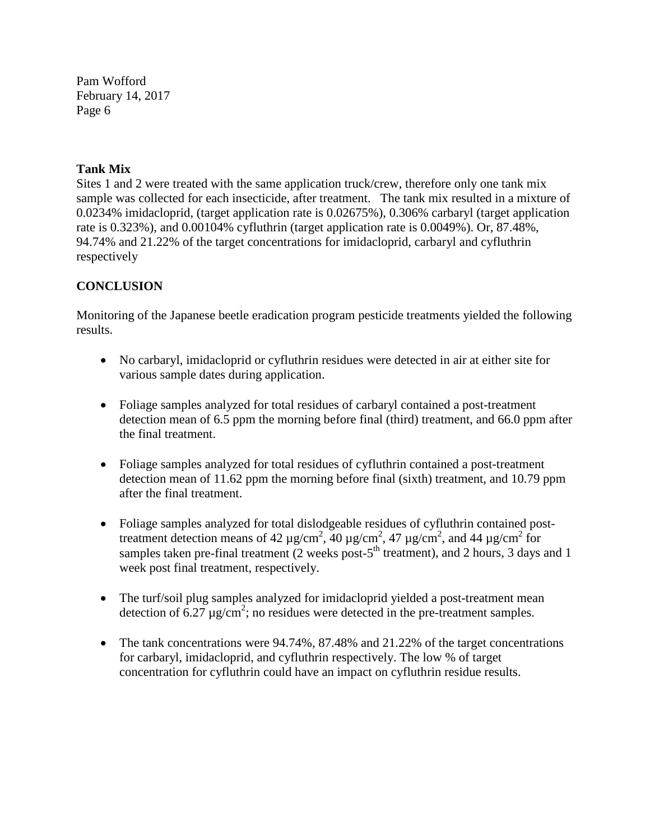### **Tank Mix**

Sites 1 and 2 were treated with the same application truck/crew, therefore only one tank mix sample was collected for each insecticide, after treatment. The tank mix resulted in a mixture of 0.0234% imidacloprid, (target application rate is 0.02675%), 0.306% carbaryl (target application rate is 0.323%), and 0.00104% cyfluthrin (target application rate is 0.0049%). Or, 87.48%, 94.74% and 21.22% of the target concentrations for imidacloprid, carbaryl and cyfluthrin respectively

## **CONCLUSION**

Monitoring of the Japanese beetle eradication program pesticide treatments yielded the following results.

- No carbaryl, imidacloprid or cyfluthrin residues were detected in air at either site for various sample dates during application.
- Foliage samples analyzed for total residues of carbaryl contained a post-treatment detection mean of 6.5 ppm the morning before final (third) treatment, and 66.0 ppm after the final treatment.
- Foliage samples analyzed for total residues of cyfluthrin contained a post-treatment detection mean of 11.62 ppm the morning before final (sixth) treatment, and 10.79 ppm after the final treatment.
- Foliage samples analyzed for total dislodgeable residues of cyfluthrin contained posttreatment detection means of 42  $\mu$ g/cm<sup>2</sup>, 40  $\mu$ g/cm<sup>2</sup>, 47  $\mu$ g/cm<sup>2</sup>, and 44  $\mu$ g/cm<sup>2</sup> for samples taken pre-final treatment  $(2 \text{ weeks post-5}^{\text{th}} \text{ treatment})$ , and 2 hours, 3 days and 1 week post final treatment, respectively.
- The turf/soil plug samples analyzed for imidacloprid yielded a post-treatment mean detection of  $6.27 \mu g/cm^2$ ; no residues were detected in the pre-treatment samples.
- The tank concentrations were  $94.74\%$ ,  $87.48\%$  and  $21.22\%$  of the target concentrations for carbaryl, imidacloprid, and cyfluthrin respectively. The low % of target concentration for cyfluthrin could have an impact on cyfluthrin residue results.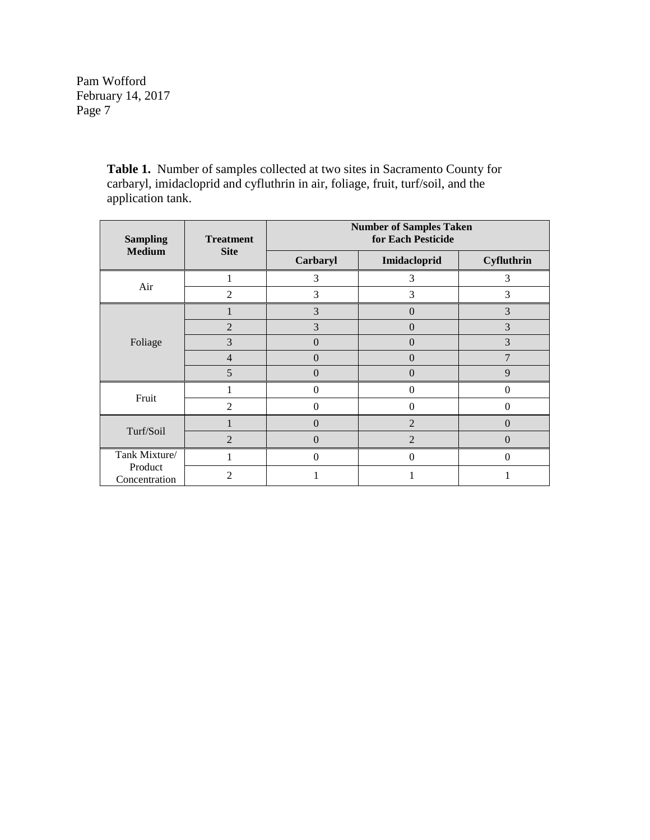> **Table 1.** Number of samples collected at two sites in Sacramento County for carbaryl, imidacloprid and cyfluthrin in air, foliage, fruit, turf/soil, and the application tank.

| <b>Sampling</b>                           | <b>Treatment</b> | <b>Number of Samples Taken</b><br>for Each Pesticide |                |            |  |
|-------------------------------------------|------------------|------------------------------------------------------|----------------|------------|--|
| <b>Medium</b>                             | <b>Site</b>      | Carbaryl                                             | Imidacloprid   | Cyfluthrin |  |
| Air                                       |                  | 3                                                    | 3              | 3          |  |
|                                           | $\overline{2}$   | 3                                                    | 3              | 3          |  |
|                                           |                  | 3                                                    | $\overline{0}$ | 3          |  |
|                                           | $\overline{2}$   | 3                                                    | $\Omega$       | 3          |  |
| Foliage                                   | 3                | 0                                                    | $\overline{0}$ | 3          |  |
|                                           | $\overline{4}$   | $\Omega$                                             | $\Omega$       | 7          |  |
|                                           | 5                | $\left( \right)$                                     | $\theta$       | 9          |  |
| Fruit                                     |                  | 0                                                    | $\overline{0}$ | $\Omega$   |  |
|                                           | 2                | 0                                                    | $\theta$       | $\Omega$   |  |
| Turf/Soil                                 |                  | 0                                                    | $\overline{2}$ | $\Omega$   |  |
|                                           | $\mathfrak{D}$   | 0                                                    | $\overline{2}$ | $\Omega$   |  |
| Tank Mixture/<br>Product<br>Concentration |                  | 0                                                    | $\theta$       | $\Omega$   |  |
|                                           | 2                |                                                      |                |            |  |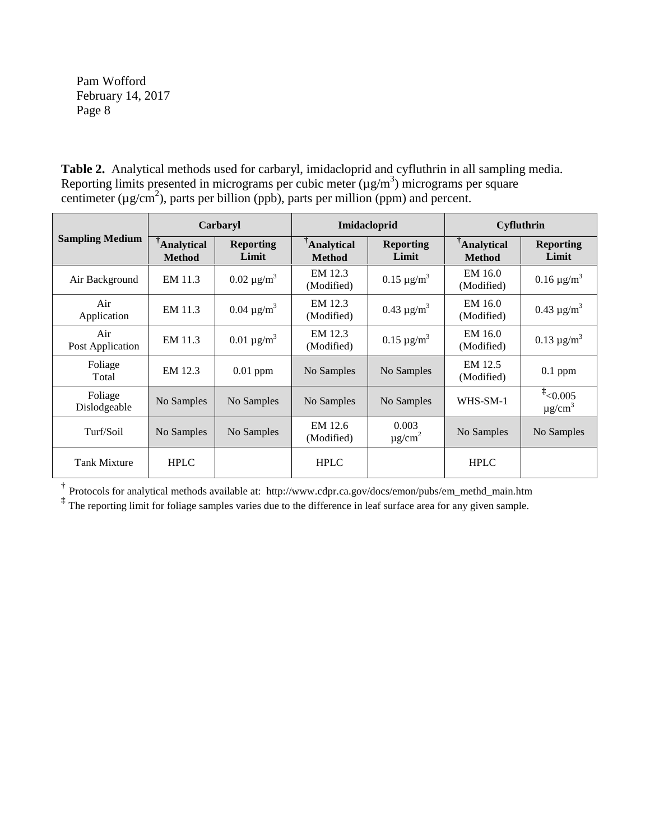**Table 2.** Analytical methods used for carbaryl, imidacloprid and cyfluthrin in all sampling media. Reporting limits presented in micrograms per cubic meter  $(\mu g/m^3)$  micrograms per square centimeter ( $\mu$ g/cm<sup>2</sup>), parts per billion (ppb), parts per million (ppm) and percent.

|                         | <b>Carbaryl</b>                    |                           | <b>Imidacloprid</b>                |                                  | <b>Cyfluthrin</b>                  |                                        |
|-------------------------|------------------------------------|---------------------------|------------------------------------|----------------------------------|------------------------------------|----------------------------------------|
| <b>Sampling Medium</b>  | <b>Analytical</b><br><b>Method</b> | <b>Reporting</b><br>Limit | <b>Analytical</b><br><b>Method</b> | <b>Reporting</b><br>Limit        | <b>Analytical</b><br><b>Method</b> | <b>Reporting</b><br>Limit              |
| Air Background          | EM 11.3                            | $0.02 \,\mu g/m^3$        | EM 12.3<br>(Modified)              | $0.15 \,\mathrm{\mu g/m}^3$      | EM 16.0<br>(Modified)              | $0.16 \,\mathrm{\mu g/m}^3$            |
| Air<br>Application      | EM 11.3                            | $0.04 \mu g/m^3$          | EM 12.3<br>(Modified)              | $0.43 \mu g/m^3$                 | EM 16.0<br>(Modified)              | $0.43 \mu g/m^3$                       |
| Air<br>Post Application | EM 11.3                            | $0.01 \mu g/m^3$          | EM 12.3<br>(Modified)              | $0.15 \mu g/m^3$                 | EM 16.0<br>(Modified)              | $0.13 \,\mathrm{\mu g/m}^3$            |
| Foliage<br>Total        | EM 12.3                            | $0.01$ ppm                | No Samples                         | No Samples                       | EM 12.5<br>(Modified)              | $0.1$ ppm                              |
| Foliage<br>Dislodgeable | No Samples                         | No Samples                | No Samples                         | No Samples                       | WHS-SM-1                           | $t_{0.005}$<br>$\mu$ g/cm <sup>3</sup> |
| Turf/Soil               | No Samples                         | No Samples                | EM 12.6<br>(Modified)              | 0.003<br>$\mu$ g/cm <sup>2</sup> | No Samples                         | No Samples                             |
| <b>Tank Mixture</b>     | <b>HPLC</b>                        |                           | <b>HPLC</b>                        |                                  | <b>HPLC</b>                        |                                        |

**†** Protocols for analytical methods available at: http://www.cdpr.ca.gov/docs/emon/pubs/em\_methd\_main.htm

<sup>‡</sup> The reporting limit for foliage samples varies due to the difference in leaf surface area for any given sample.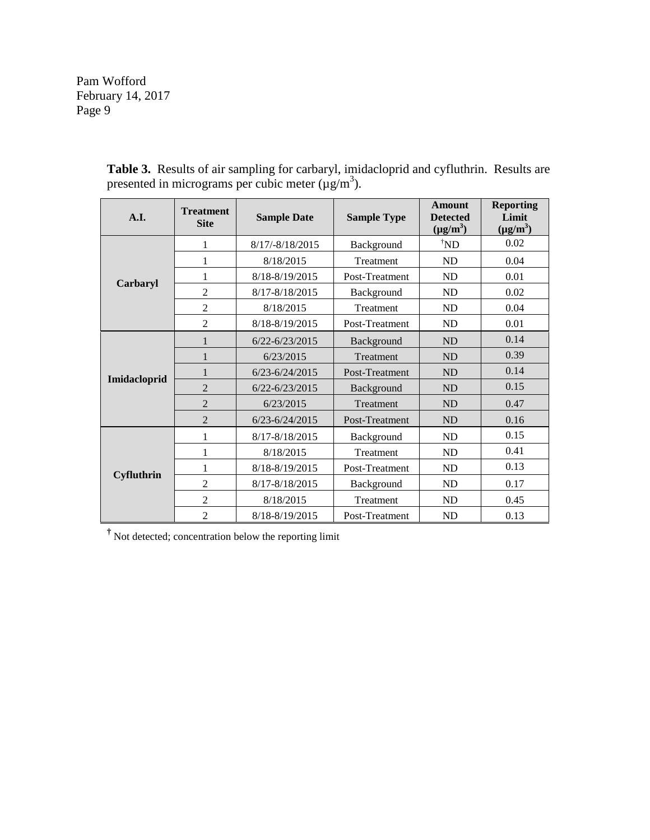| A.I.              | <b>Treatment</b><br><b>Site</b> | <b>Sample Date</b><br><b>Sample Type</b> |                | <b>Amount</b><br><b>Detected</b><br>$(\mu g/m^3)$ | <b>Reporting</b><br>Limit<br>$(\mu g/m^3)$ |
|-------------------|---------------------------------|------------------------------------------|----------------|---------------------------------------------------|--------------------------------------------|
|                   | 1                               | 8/17/-8/18/2015                          | Background     | $\boldsymbol{\mathcal{N}}$ ND                     | 0.02                                       |
|                   | 1                               | 8/18/2015                                | Treatment      | ND                                                | 0.04                                       |
| Carbaryl          |                                 | 8/18-8/19/2015                           | Post-Treatment | ND                                                | 0.01                                       |
|                   | $\overline{c}$                  | 8/17-8/18/2015                           | Background     | ND                                                | 0.02                                       |
|                   | $\overline{2}$                  | 8/18/2015                                | Treatment      | ND                                                | 0.04                                       |
|                   | $\overline{2}$                  | 8/18-8/19/2015                           | Post-Treatment | ND                                                | 0.01                                       |
| Imidacloprid      | 1                               | $6/22 - 6/23/2015$                       | Background     | <b>ND</b>                                         | 0.14                                       |
|                   |                                 | 6/23/2015                                | Treatment      | ND                                                | 0.39                                       |
|                   | 1                               | $6/23 - 6/24/2015$                       | Post-Treatment | <b>ND</b>                                         | 0.14                                       |
|                   | $\overline{2}$                  | $6/22 - 6/23/2015$                       | Background     | ND                                                | 0.15                                       |
|                   | $\overline{2}$                  | 6/23/2015                                | Treatment      | ND                                                | 0.47                                       |
|                   | $\overline{2}$                  | $6/23 - 6/24/2015$                       | Post-Treatment | <b>ND</b>                                         | 0.16                                       |
|                   | 1                               | 8/17-8/18/2015                           | Background     | ND                                                | 0.15                                       |
| <b>Cyfluthrin</b> | 1                               | 8/18/2015                                | Treatment      | ND                                                | 0.41                                       |
|                   | 1                               | 8/18-8/19/2015                           | Post-Treatment | ND                                                | 0.13                                       |
|                   | $\overline{2}$                  | 8/17-8/18/2015                           | Background     | ND                                                | 0.17                                       |
|                   | $\overline{2}$                  | 8/18/2015                                | Treatment      | ND                                                | 0.45                                       |
|                   | $\overline{2}$                  | 8/18-8/19/2015                           | Post-Treatment | ND                                                | 0.13                                       |

**Table 3.** Results of air sampling for carbaryl, imidacloprid and cyfluthrin. Results are presented in micrograms per cubic meter  $(\mu g/m^3)$ .

**†** Not detected; concentration below the reporting limit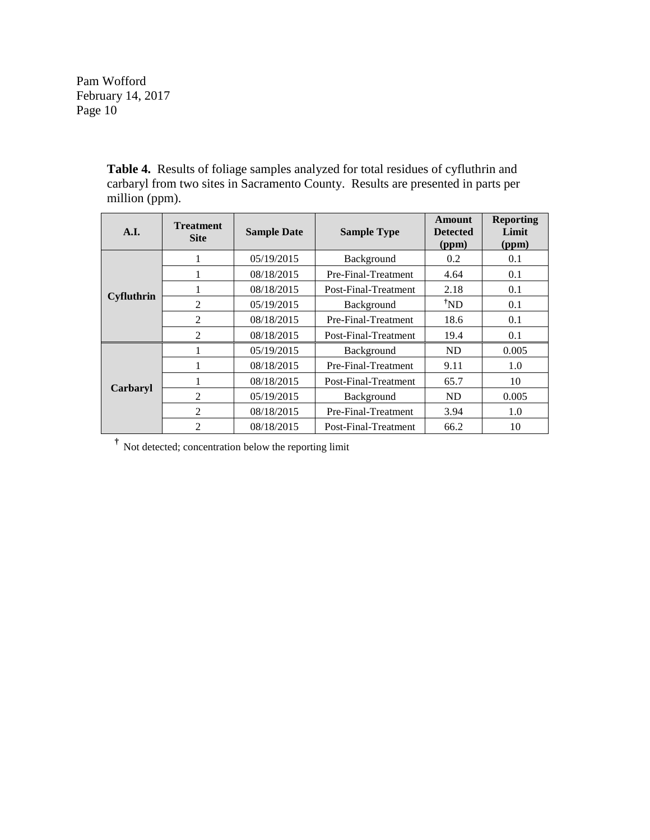> **Table 4.** Results of foliage samples analyzed for total residues of cyfluthrin and carbaryl from two sites in Sacramento County. Results are presented in parts per million (ppm).

| A.I.              | <b>Treatment</b><br><b>Site</b> | <b>Sample Date</b>                | <b>Sample Type</b>   | Amount<br><b>Detected</b><br>(ppm) | <b>Reporting</b><br>Limit<br>(ppm) |
|-------------------|---------------------------------|-----------------------------------|----------------------|------------------------------------|------------------------------------|
|                   |                                 | 05/19/2015                        | Background           | 0.2                                | 0.1                                |
|                   | 1                               | 08/18/2015<br>Pre-Final-Treatment |                      | 4.64                               | 0.1                                |
|                   | 1                               | 08/18/2015                        | Post-Final-Treatment | 2.18                               | 0.1                                |
| <b>Cyfluthrin</b> | $\overline{2}$                  | 05/19/2015                        | Background           | $^{\dagger}ND$                     | 0.1                                |
|                   | $\mathfrak{D}$                  | 08/18/2015                        | Pre-Final-Treatment  | 18.6                               | 0.1                                |
|                   | $\overline{2}$                  | 08/18/2015                        | Post-Final-Treatment | 19.4                               | 0.1                                |
|                   |                                 | 05/19/2015                        | Background           | ND.                                | 0.005                              |
| Carbaryl          |                                 | 08/18/2015                        | Pre-Final-Treatment  | 9.11                               | 1.0                                |
|                   |                                 | 08/18/2015                        | Post-Final-Treatment | 65.7                               | 10                                 |
|                   | 2                               | 05/19/2015                        | Background           | ND.                                | 0.005                              |
|                   | 2                               | 08/18/2015                        | Pre-Final-Treatment  | 3.94                               | 1.0                                |
|                   | $\overline{2}$                  | 08/18/2015                        | Post-Final-Treatment | 66.2                               | 10                                 |

**†** Not detected; concentration below the reporting limit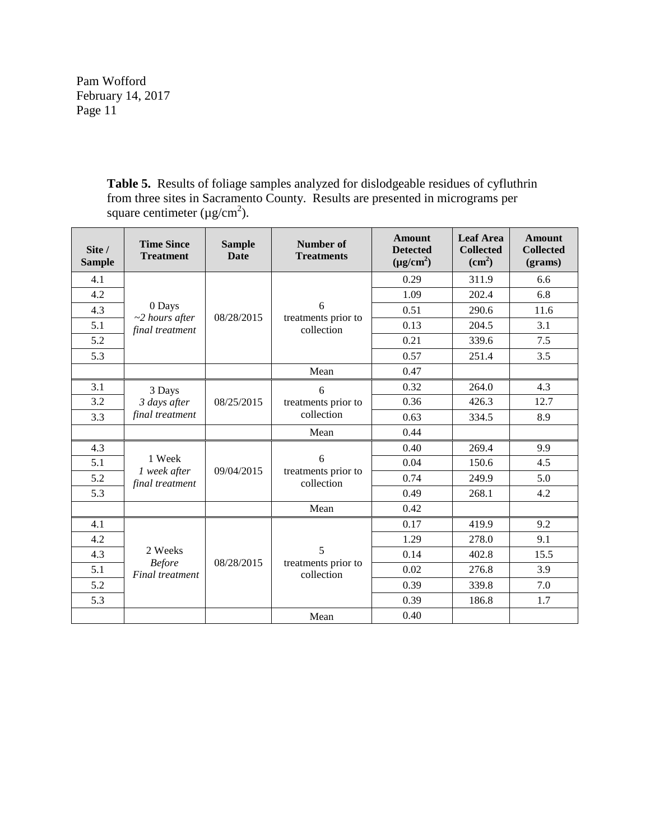> **Table 5.** Results of foliage samples analyzed for dislodgeable residues of cyfluthrin from three sites in Sacramento County. Results are presented in micrograms per square centimeter ( $\mu$ g/cm<sup>2</sup>).

| Site /<br><b>Sample</b> | <b>Time Since</b><br><b>Treatment</b>       | <b>Sample</b><br>Date | Number of<br><b>Treatments</b>         | <b>Amount</b><br><b>Detected</b><br>$(\mu g/cm^2)$ | <b>Leaf Area</b><br><b>Collected</b><br>$\text{(cm}^2)$ | <b>Amount</b><br><b>Collected</b><br>(grams) |
|-------------------------|---------------------------------------------|-----------------------|----------------------------------------|----------------------------------------------------|---------------------------------------------------------|----------------------------------------------|
| 4.1                     |                                             |                       |                                        | 0.29                                               | 311.9                                                   | 6.6                                          |
| 4.2                     |                                             |                       | 6                                      | 1.09                                               | 202.4                                                   | 6.8                                          |
| 4.3                     | 0 Days                                      |                       |                                        | 0.51                                               | 290.6                                                   | 11.6                                         |
| 5.1                     | $~2$ hours after<br>final treatment         | 08/28/2015            | treatments prior to<br>collection      | 0.13                                               | 204.5                                                   | 3.1                                          |
| 5.2                     |                                             |                       |                                        | 0.21                                               | 339.6                                                   | 7.5                                          |
| 5.3                     |                                             |                       |                                        | 0.57                                               | 251.4                                                   | 3.5                                          |
|                         |                                             |                       | Mean                                   | 0.47                                               |                                                         |                                              |
| 3.1                     | 3 Days                                      |                       | 6                                      | 0.32                                               | 264.0                                                   | 4.3                                          |
| 3.2                     | 3 days after                                | 08/25/2015            | treatments prior to<br>collection      | 0.36                                               | 426.3                                                   | 12.7                                         |
| 3.3                     | final treatment                             |                       |                                        | 0.63                                               | 334.5                                                   | 8.9                                          |
|                         |                                             |                       | Mean                                   | 0.44                                               |                                                         |                                              |
| 4.3                     |                                             | 09/04/2015            | 6<br>treatments prior to<br>collection | 0.40                                               | 269.4                                                   | 9.9                                          |
| 5.1                     | 1 Week                                      |                       |                                        | 0.04                                               | 150.6                                                   | 4.5                                          |
| 5.2                     | 1 week after<br>final treatment             |                       |                                        | 0.74                                               | 249.9                                                   | 5.0                                          |
| 5.3                     |                                             |                       |                                        | 0.49                                               | 268.1                                                   | 4.2                                          |
|                         |                                             |                       | Mean                                   | 0.42                                               |                                                         |                                              |
| 4.1                     |                                             |                       |                                        | 0.17                                               | 419.9                                                   | 9.2                                          |
| 4.2                     |                                             |                       |                                        | 1.29                                               | 278.0                                                   | 9.1                                          |
| 4.3                     | 2 Weeks<br><b>Before</b><br>Final treatment | 08/28/2015            | 5                                      | 0.14                                               | 402.8                                                   | 15.5                                         |
| 5.1                     |                                             |                       | treatments prior to<br>collection      | 0.02                                               | 276.8                                                   | 3.9                                          |
| 5.2                     |                                             |                       |                                        | 0.39                                               | 339.8                                                   | 7.0                                          |
| 5.3                     |                                             |                       |                                        | 0.39                                               | 186.8                                                   | 1.7                                          |
|                         |                                             |                       | Mean                                   | 0.40                                               |                                                         |                                              |